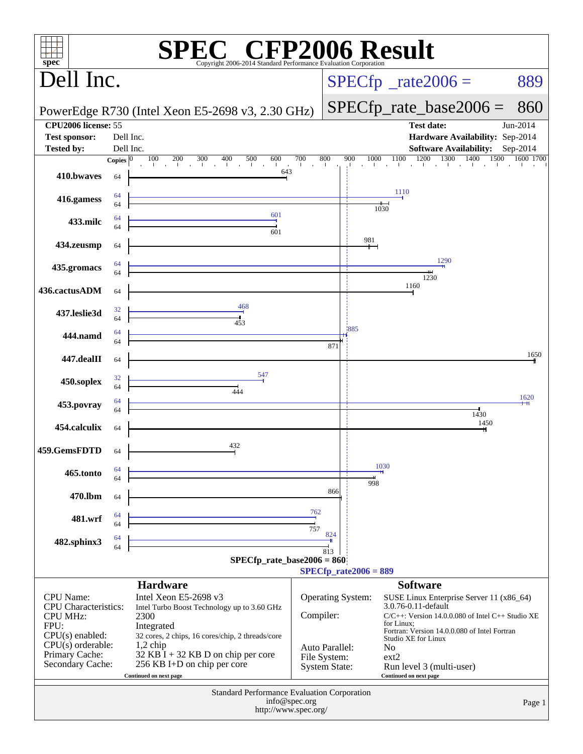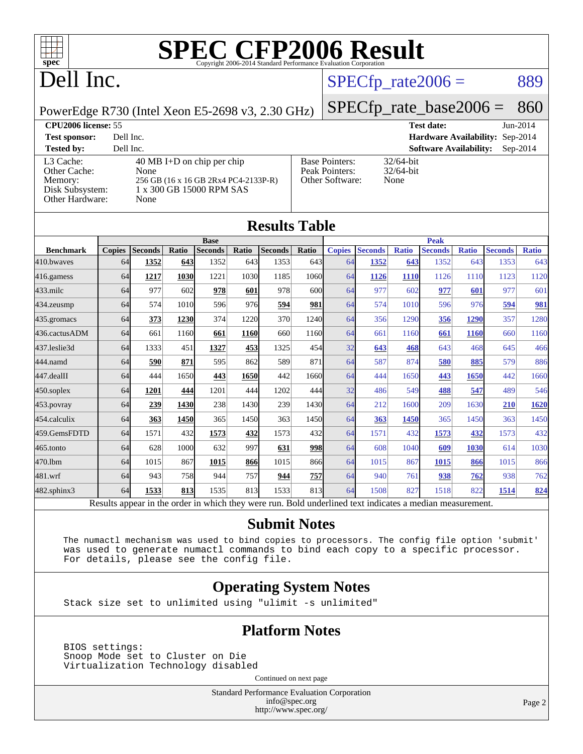

# Dell Inc.

#### $SPECTp_rate2006 = 889$

PowerEdge R730 (Intel Xeon E5-2698 v3, 2.30 GHz)

[SPECfp\\_rate\\_base2006 =](http://www.spec.org/auto/cpu2006/Docs/result-fields.html#SPECfpratebase2006) 860

| <b>CPU2006 license: 55</b>                                                 |                                                                                                                |                                                            | <b>Test date:</b><br>$Jun-2014$             |
|----------------------------------------------------------------------------|----------------------------------------------------------------------------------------------------------------|------------------------------------------------------------|---------------------------------------------|
| <b>Test sponsor:</b>                                                       | Dell Inc.                                                                                                      |                                                            | <b>Hardware Availability: Sep-2014</b>      |
| <b>Tested by:</b>                                                          | Dell Inc.                                                                                                      |                                                            | <b>Software Availability:</b><br>$Sep-2014$ |
| L3 Cache:<br>Other Cache:<br>Memory:<br>Disk Subsystem:<br>Other Hardware: | 40 MB I+D on chip per chip<br>None<br>256 GB (16 x 16 GB 2Rx4 PC4-2133P-R)<br>1 x 300 GB 15000 RPM SAS<br>None | <b>Base Pointers:</b><br>Peak Pointers:<br>Other Software: | $32/64$ -bit<br>$32/64$ -bit<br>None        |

| <b>Results Table</b> |                                                                                                          |                |             |                |             |                |              |               |                |              |                |              |                |              |
|----------------------|----------------------------------------------------------------------------------------------------------|----------------|-------------|----------------|-------------|----------------|--------------|---------------|----------------|--------------|----------------|--------------|----------------|--------------|
|                      | <b>Base</b>                                                                                              |                |             |                |             |                |              |               | <b>Peak</b>    |              |                |              |                |              |
| <b>Benchmark</b>     | <b>Copies</b>                                                                                            | <b>Seconds</b> | Ratio       | <b>Seconds</b> | Ratio       | <b>Seconds</b> | <b>Ratio</b> | <b>Copies</b> | <b>Seconds</b> | <b>Ratio</b> | <b>Seconds</b> | <b>Ratio</b> | <b>Seconds</b> | <b>Ratio</b> |
| 410.bwayes           | 64                                                                                                       | 1352           | 643         | 1352           | 643         | 1353           | 643          | 64            | 1352           | 643          | 1352           | 643          | 1353           | 643          |
| 416.gamess           | 64                                                                                                       | 1217           | 1030        | 1221           | 1030        | 1185           | 1060         | 64            | 1126           | 1110         | 1126           | 1110         | 1123           | 1120         |
| $433$ .milc          | 64                                                                                                       | 977            | 602         | 978            | 601         | 978            | 600          | 64            | 977            | 602          | 977            | 601          | 977            | 601          |
| 434.zeusmp           | 64                                                                                                       | 574            | <b>1010</b> | 596            | 976         | 594            | 981          | 64            | 574            | 1010         | 596            | 976          | 594            | 981          |
| 435.gromacs          | 64                                                                                                       | 373            | 1230        | 374            | 1220        | 370            | 1240         | 64            | 356            | 1290         | 356            | 1290         | 357            | 1280         |
| 436.cactusADM        | 64                                                                                                       | 661            | 1160        | 661            | <b>1160</b> | 660            | 1160         | 64            | 661            | 1160         | 661            | 1160         | 660            | 1160         |
| 437.leslie3d         | 64                                                                                                       | 1333           | 451         | 1327           | 453         | 1325           | 454          | 32            | 643            | 468          | 643            | 468          | 645            | 466          |
| 444.namd             | 64                                                                                                       | 590            | 871         | 595            | 862         | 589            | 871          | 64            | 587            | 874          | 580            | 885          | 579            | 886          |
| 447.dealII           | 64                                                                                                       | 444            | 1650        | 443            | 1650        | 442            | 1660         | 64            | 444            | 1650         | 443            | 1650         | 442            | 1660         |
| $450$ .soplex        | 64                                                                                                       | 1201           | <u>444</u>  | 1201           | 444         | 1202           | 444          | 32            | 486            | 549          | 488            | 547          | 489            | 546          |
| $453$ .povray        | 64                                                                                                       | 239            | 1430        | 238            | 1430        | 239            | 1430         | 64            | 212            | 1600         | 209            | 1630         | 210            | 1620         |
| 454.calculix         | 64                                                                                                       | 363            | 1450        | 365            | 1450        | 363            | 1450         | 64            | 363            | 1450         | 365            | 1450         | 363            | 1450         |
| 459.GemsFDTD         | 64                                                                                                       | 1571           | 432         | 1573           | 432         | 1573           | 432          | 64            | 1571           | 432          | 1573           | 432          | 1573           | 432          |
| $465$ .tonto         | 64                                                                                                       | 628            | 1000        | 632            | 997         | 631            | <b>998</b>   | 64            | 608            | 1040         | 609            | 1030         | 614            | 1030         |
| 470.1bm              | 64                                                                                                       | 1015           | 867         | 1015           | 866         | 1015           | 866          | 64            | 1015           | 867          | 1015           | 866          | 1015           | 866          |
| 481.wrf              | 64                                                                                                       | 943            | 758         | 944            | 757         | 944            | 757          | 64            | 940            | 761          | 938            | 762          | 938            | 762          |
| 482.sphinx3          | 64                                                                                                       | 1533           | 813         | 1535           | 813         | 1533           | 813          | 64            | 1508           | 827          | 1518           | 822          | 1514           | 824          |
|                      | Results appear in the order in which they were run. Bold underlined text indicates a median measurement. |                |             |                |             |                |              |               |                |              |                |              |                |              |

#### **[Submit Notes](http://www.spec.org/auto/cpu2006/Docs/result-fields.html#SubmitNotes)**

 The numactl mechanism was used to bind copies to processors. The config file option 'submit' was used to generate numactl commands to bind each copy to a specific processor. For details, please see the config file.

#### **[Operating System Notes](http://www.spec.org/auto/cpu2006/Docs/result-fields.html#OperatingSystemNotes)**

Stack size set to unlimited using "ulimit -s unlimited"

#### **[Platform Notes](http://www.spec.org/auto/cpu2006/Docs/result-fields.html#PlatformNotes)**

 BIOS settings: Snoop Mode set to Cluster on Die Virtualization Technology disabled

Continued on next page

Standard Performance Evaluation Corporation [info@spec.org](mailto:info@spec.org) <http://www.spec.org/>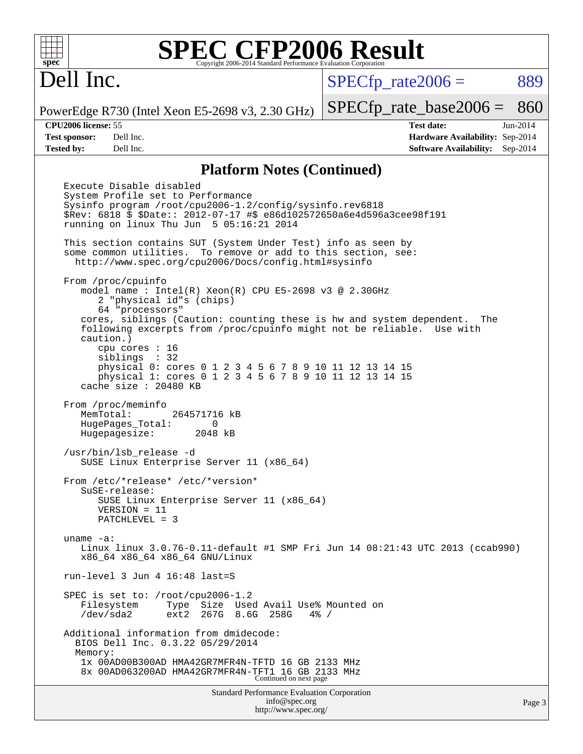| $spec^*$                                                                |                                                                                                                  |                                                                            | <b>SPEC CFP2006 Result</b><br>Copyright 2006-2014 Standard Performance Evaluation Corporation                                                                                                                                                                                                                                  |                      |                                                                                                |            |
|-------------------------------------------------------------------------|------------------------------------------------------------------------------------------------------------------|----------------------------------------------------------------------------|--------------------------------------------------------------------------------------------------------------------------------------------------------------------------------------------------------------------------------------------------------------------------------------------------------------------------------|----------------------|------------------------------------------------------------------------------------------------|------------|
| Dell Inc.                                                               |                                                                                                                  |                                                                            |                                                                                                                                                                                                                                                                                                                                | $SPECfp\_rate2006 =$ |                                                                                                | 889        |
|                                                                         |                                                                                                                  |                                                                            | PowerEdge R730 (Intel Xeon E5-2698 v3, 2.30 GHz)                                                                                                                                                                                                                                                                               |                      | $SPECfp\_rate\_base2006 =$                                                                     | 860        |
| <b>CPU2006</b> license: 55<br><b>Test sponsor:</b><br><b>Tested by:</b> | Dell Inc.<br>Dell Inc.                                                                                           |                                                                            |                                                                                                                                                                                                                                                                                                                                |                      | <b>Test date:</b><br>Hardware Availability: Sep-2014<br><b>Software Availability:</b> Sep-2014 | $Jun-2014$ |
|                                                                         |                                                                                                                  |                                                                            | <b>Platform Notes (Continued)</b>                                                                                                                                                                                                                                                                                              |                      |                                                                                                |            |
|                                                                         | Execute Disable disabled                                                                                         | System Profile set to Performance                                          | Sysinfo program /root/cpu2006-1.2/config/sysinfo.rev6818<br>\$Rev: 6818 \$ \$Date:: 2012-07-17 #\$ e86d102572650a6e4d596a3cee98f191<br>running on linux Thu Jun 5 05:16:21 2014                                                                                                                                                |                      |                                                                                                |            |
|                                                                         | some common utilities.                                                                                           |                                                                            | This section contains SUT (System Under Test) info as seen by<br>To remove or add to this section, see:<br>http://www.spec.org/cpu2006/Docs/config.html#sysinfo                                                                                                                                                                |                      |                                                                                                |            |
|                                                                         | From /proc/cpuinfo<br>64 "processors"<br>caution.)<br>cpu cores : 16<br>siblings : 32<br>cache size $: 20480$ KB | 2 "physical id"s (chips)                                                   | model name: $Intel(R)$ Xeon(R) CPU E5-2698 v3 @ 2.30GHz<br>cores, siblings (Caution: counting these is hw and system dependent.<br>following excerpts from /proc/cpuinfo might not be reliable. Use with<br>physical 0: cores 0 1 2 3 4 5 6 7 8 9 10 11 12 13 14 15<br>physical 1: cores 0 1 2 3 4 5 6 7 8 9 10 11 12 13 14 15 |                      | The                                                                                            |            |
|                                                                         | From /proc/meminfo<br>MemTotal:<br>HugePages_Total:<br>Hugepagesize:                                             | 264571716 kB<br>0<br>2048 kB                                               |                                                                                                                                                                                                                                                                                                                                |                      |                                                                                                |            |
|                                                                         | /usr/bin/lsb release -d                                                                                          |                                                                            | SUSE Linux Enterprise Server 11 (x86_64)                                                                                                                                                                                                                                                                                       |                      |                                                                                                |            |
|                                                                         | SuSE-release:<br>$VERSION = 11$<br>PATCHLEVEL = 3                                                                | From /etc/*release* /etc/*version*                                         | SUSE Linux Enterprise Server 11 (x86_64)                                                                                                                                                                                                                                                                                       |                      |                                                                                                |            |
| uname $-a$ :                                                            |                                                                                                                  | x86_64 x86_64 x86_64 GNU/Linux                                             |                                                                                                                                                                                                                                                                                                                                |                      | Linux linux 3.0.76-0.11-default #1 SMP Fri Jun 14 08:21:43 UTC 2013 (ccab990)                  |            |
|                                                                         |                                                                                                                  | run-level 3 Jun 4 16:48 last=S                                             |                                                                                                                                                                                                                                                                                                                                |                      |                                                                                                |            |
|                                                                         | Filesystem<br>/dev/sda2                                                                                          | SPEC is set to: /root/cpu2006-1.2                                          | Type Size Used Avail Use% Mounted on<br>ext2 267G 8.6G 258G                                                                                                                                                                                                                                                                    | $4\%$ /              |                                                                                                |            |
| Memory:                                                                 |                                                                                                                  | Additional information from dmidecode:<br>BIOS Dell Inc. 0.3.22 05/29/2014 |                                                                                                                                                                                                                                                                                                                                |                      |                                                                                                |            |
|                                                                         |                                                                                                                  |                                                                            | 1x 00AD00B300AD HMA42GR7MFR4N-TFTD 16 GB 2133 MHz<br>8x 00AD063200AD HMA42GR7MFR4N-TFT1 16 GB 2133 MHz<br>Continued on next page                                                                                                                                                                                               |                      |                                                                                                |            |
|                                                                         |                                                                                                                  |                                                                            | <b>Standard Performance Evaluation Corporation</b><br>info@spec.org<br>http://www.spec.org/                                                                                                                                                                                                                                    |                      |                                                                                                | Page 3     |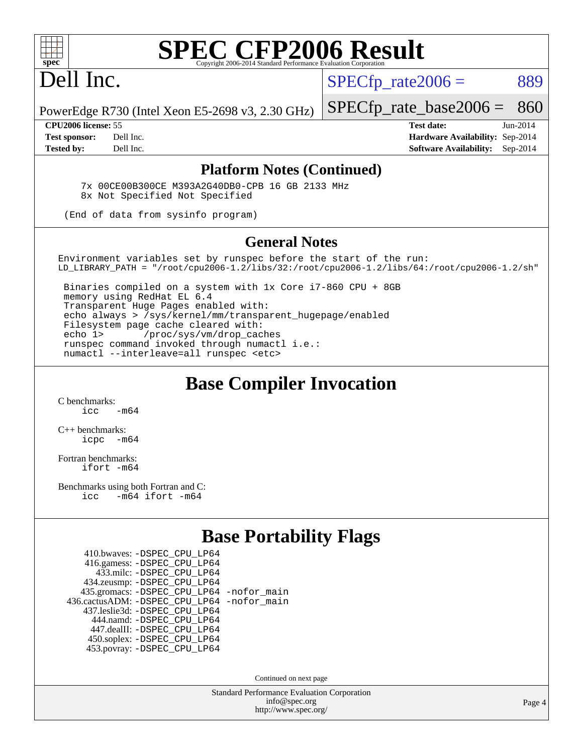

Dell Inc.

 $SPECTp\_rate2006 = 889$ 

PowerEdge R730 (Intel Xeon E5-2698 v3, 2.30 GHz)

**[Test sponsor:](http://www.spec.org/auto/cpu2006/Docs/result-fields.html#Testsponsor)** Dell Inc. **[Hardware Availability:](http://www.spec.org/auto/cpu2006/Docs/result-fields.html#HardwareAvailability)** Sep-2014 **[Tested by:](http://www.spec.org/auto/cpu2006/Docs/result-fields.html#Testedby)** Dell Inc. **[Software Availability:](http://www.spec.org/auto/cpu2006/Docs/result-fields.html#SoftwareAvailability)** Sep-2014

[SPECfp\\_rate\\_base2006 =](http://www.spec.org/auto/cpu2006/Docs/result-fields.html#SPECfpratebase2006) 860 **[CPU2006 license:](http://www.spec.org/auto/cpu2006/Docs/result-fields.html#CPU2006license)** 55 **[Test date:](http://www.spec.org/auto/cpu2006/Docs/result-fields.html#Testdate)** Jun-2014

#### **[Platform Notes \(Continued\)](http://www.spec.org/auto/cpu2006/Docs/result-fields.html#PlatformNotes)**

 7x 00CE00B300CE M393A2G40DB0-CPB 16 GB 2133 MHz 8x Not Specified Not Specified

(End of data from sysinfo program)

#### **[General Notes](http://www.spec.org/auto/cpu2006/Docs/result-fields.html#GeneralNotes)**

Environment variables set by runspec before the start of the run: LD\_LIBRARY\_PATH = "/root/cpu2006-1.2/libs/32:/root/cpu2006-1.2/libs/64:/root/cpu2006-1.2/sh"

 Binaries compiled on a system with 1x Core i7-860 CPU + 8GB memory using RedHat EL 6.4 Transparent Huge Pages enabled with: echo always > /sys/kernel/mm/transparent\_hugepage/enabled Filesystem page cache cleared with: echo 1> /proc/sys/vm/drop\_caches runspec command invoked through numactl i.e.: numactl --interleave=all runspec <etc>

### **[Base Compiler Invocation](http://www.spec.org/auto/cpu2006/Docs/result-fields.html#BaseCompilerInvocation)**

[C benchmarks](http://www.spec.org/auto/cpu2006/Docs/result-fields.html#Cbenchmarks):  $\frac{1}{2}$   $\mathrm{c}$   $\mathrm{c}$   $\frac{1}{2}$   $\mathrm{m}$   $\mathrm{6}$   $\mathrm{4}$ 

[C++ benchmarks:](http://www.spec.org/auto/cpu2006/Docs/result-fields.html#CXXbenchmarks) [icpc -m64](http://www.spec.org/cpu2006/results/res2014q3/cpu2006-20140909-31283.flags.html#user_CXXbase_intel_icpc_64bit_bedb90c1146cab66620883ef4f41a67e)

[Fortran benchmarks](http://www.spec.org/auto/cpu2006/Docs/result-fields.html#Fortranbenchmarks): [ifort -m64](http://www.spec.org/cpu2006/results/res2014q3/cpu2006-20140909-31283.flags.html#user_FCbase_intel_ifort_64bit_ee9d0fb25645d0210d97eb0527dcc06e)

[Benchmarks using both Fortran and C](http://www.spec.org/auto/cpu2006/Docs/result-fields.html#BenchmarksusingbothFortranandC): [icc -m64](http://www.spec.org/cpu2006/results/res2014q3/cpu2006-20140909-31283.flags.html#user_CC_FCbase_intel_icc_64bit_0b7121f5ab7cfabee23d88897260401c) [ifort -m64](http://www.spec.org/cpu2006/results/res2014q3/cpu2006-20140909-31283.flags.html#user_CC_FCbase_intel_ifort_64bit_ee9d0fb25645d0210d97eb0527dcc06e)

### **[Base Portability Flags](http://www.spec.org/auto/cpu2006/Docs/result-fields.html#BasePortabilityFlags)**

| 410.bwaves: - DSPEC CPU LP64                 |  |
|----------------------------------------------|--|
| 416.gamess: -DSPEC_CPU_LP64                  |  |
| 433.milc: - DSPEC_CPU LP64                   |  |
| 434.zeusmp: -DSPEC_CPU_LP64                  |  |
| 435.gromacs: -DSPEC_CPU_LP64 -nofor_main     |  |
| 436.cactusADM: - DSPEC CPU LP64 - nofor main |  |
| 437.leslie3d: -DSPEC CPU LP64                |  |
| 444.namd: - DSPEC_CPU_LP64                   |  |
| 447.dealII: -DSPEC CPU LP64                  |  |
| 450.soplex: -DSPEC_CPU_LP64                  |  |
| 453.povray: -DSPEC CPU LP64                  |  |

Continued on next page

Standard Performance Evaluation Corporation [info@spec.org](mailto:info@spec.org) <http://www.spec.org/>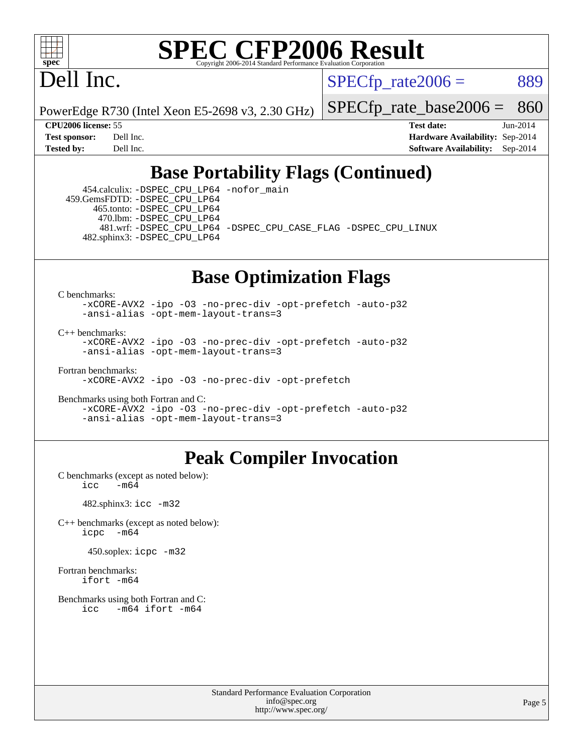

# Dell Inc.

 $SPECTp\_rate2006 = 889$ 

PowerEdge R730 (Intel Xeon E5-2698 v3, 2.30 GHz)

[SPECfp\\_rate\\_base2006 =](http://www.spec.org/auto/cpu2006/Docs/result-fields.html#SPECfpratebase2006) 860

**[CPU2006 license:](http://www.spec.org/auto/cpu2006/Docs/result-fields.html#CPU2006license)** 55 **[Test date:](http://www.spec.org/auto/cpu2006/Docs/result-fields.html#Testdate)** Jun-2014 **[Test sponsor:](http://www.spec.org/auto/cpu2006/Docs/result-fields.html#Testsponsor)** Dell Inc. **[Hardware Availability:](http://www.spec.org/auto/cpu2006/Docs/result-fields.html#HardwareAvailability)** Sep-2014 **[Tested by:](http://www.spec.org/auto/cpu2006/Docs/result-fields.html#Testedby)** Dell Inc. **[Software Availability:](http://www.spec.org/auto/cpu2006/Docs/result-fields.html#SoftwareAvailability)** Sep-2014

## **[Base Portability Flags \(Continued\)](http://www.spec.org/auto/cpu2006/Docs/result-fields.html#BasePortabilityFlags)**

 454.calculix: [-DSPEC\\_CPU\\_LP64](http://www.spec.org/cpu2006/results/res2014q3/cpu2006-20140909-31283.flags.html#suite_basePORTABILITY454_calculix_DSPEC_CPU_LP64) [-nofor\\_main](http://www.spec.org/cpu2006/results/res2014q3/cpu2006-20140909-31283.flags.html#user_baseLDPORTABILITY454_calculix_f-nofor_main) 459.GemsFDTD: [-DSPEC\\_CPU\\_LP64](http://www.spec.org/cpu2006/results/res2014q3/cpu2006-20140909-31283.flags.html#suite_basePORTABILITY459_GemsFDTD_DSPEC_CPU_LP64) 465.tonto: [-DSPEC\\_CPU\\_LP64](http://www.spec.org/cpu2006/results/res2014q3/cpu2006-20140909-31283.flags.html#suite_basePORTABILITY465_tonto_DSPEC_CPU_LP64) 470.lbm: [-DSPEC\\_CPU\\_LP64](http://www.spec.org/cpu2006/results/res2014q3/cpu2006-20140909-31283.flags.html#suite_basePORTABILITY470_lbm_DSPEC_CPU_LP64) 481.wrf: [-DSPEC\\_CPU\\_LP64](http://www.spec.org/cpu2006/results/res2014q3/cpu2006-20140909-31283.flags.html#suite_basePORTABILITY481_wrf_DSPEC_CPU_LP64) [-DSPEC\\_CPU\\_CASE\\_FLAG](http://www.spec.org/cpu2006/results/res2014q3/cpu2006-20140909-31283.flags.html#b481.wrf_baseCPORTABILITY_DSPEC_CPU_CASE_FLAG) [-DSPEC\\_CPU\\_LINUX](http://www.spec.org/cpu2006/results/res2014q3/cpu2006-20140909-31283.flags.html#b481.wrf_baseCPORTABILITY_DSPEC_CPU_LINUX) 482.sphinx3: [-DSPEC\\_CPU\\_LP64](http://www.spec.org/cpu2006/results/res2014q3/cpu2006-20140909-31283.flags.html#suite_basePORTABILITY482_sphinx3_DSPEC_CPU_LP64)

## **[Base Optimization Flags](http://www.spec.org/auto/cpu2006/Docs/result-fields.html#BaseOptimizationFlags)**

[C benchmarks](http://www.spec.org/auto/cpu2006/Docs/result-fields.html#Cbenchmarks):

[-xCORE-AVX2](http://www.spec.org/cpu2006/results/res2014q3/cpu2006-20140909-31283.flags.html#user_CCbase_f-xAVX2_5f5fc0cbe2c9f62c816d3e45806c70d7) [-ipo](http://www.spec.org/cpu2006/results/res2014q3/cpu2006-20140909-31283.flags.html#user_CCbase_f-ipo) [-O3](http://www.spec.org/cpu2006/results/res2014q3/cpu2006-20140909-31283.flags.html#user_CCbase_f-O3) [-no-prec-div](http://www.spec.org/cpu2006/results/res2014q3/cpu2006-20140909-31283.flags.html#user_CCbase_f-no-prec-div) [-opt-prefetch](http://www.spec.org/cpu2006/results/res2014q3/cpu2006-20140909-31283.flags.html#user_CCbase_f-opt-prefetch) [-auto-p32](http://www.spec.org/cpu2006/results/res2014q3/cpu2006-20140909-31283.flags.html#user_CCbase_f-auto-p32) [-ansi-alias](http://www.spec.org/cpu2006/results/res2014q3/cpu2006-20140909-31283.flags.html#user_CCbase_f-ansi-alias) [-opt-mem-layout-trans=3](http://www.spec.org/cpu2006/results/res2014q3/cpu2006-20140909-31283.flags.html#user_CCbase_f-opt-mem-layout-trans_a7b82ad4bd7abf52556d4961a2ae94d5)

[C++ benchmarks:](http://www.spec.org/auto/cpu2006/Docs/result-fields.html#CXXbenchmarks)

[-xCORE-AVX2](http://www.spec.org/cpu2006/results/res2014q3/cpu2006-20140909-31283.flags.html#user_CXXbase_f-xAVX2_5f5fc0cbe2c9f62c816d3e45806c70d7) [-ipo](http://www.spec.org/cpu2006/results/res2014q3/cpu2006-20140909-31283.flags.html#user_CXXbase_f-ipo) [-O3](http://www.spec.org/cpu2006/results/res2014q3/cpu2006-20140909-31283.flags.html#user_CXXbase_f-O3) [-no-prec-div](http://www.spec.org/cpu2006/results/res2014q3/cpu2006-20140909-31283.flags.html#user_CXXbase_f-no-prec-div) [-opt-prefetch](http://www.spec.org/cpu2006/results/res2014q3/cpu2006-20140909-31283.flags.html#user_CXXbase_f-opt-prefetch) [-auto-p32](http://www.spec.org/cpu2006/results/res2014q3/cpu2006-20140909-31283.flags.html#user_CXXbase_f-auto-p32) [-ansi-alias](http://www.spec.org/cpu2006/results/res2014q3/cpu2006-20140909-31283.flags.html#user_CXXbase_f-ansi-alias) [-opt-mem-layout-trans=3](http://www.spec.org/cpu2006/results/res2014q3/cpu2006-20140909-31283.flags.html#user_CXXbase_f-opt-mem-layout-trans_a7b82ad4bd7abf52556d4961a2ae94d5)

[Fortran benchmarks](http://www.spec.org/auto/cpu2006/Docs/result-fields.html#Fortranbenchmarks):

[-xCORE-AVX2](http://www.spec.org/cpu2006/results/res2014q3/cpu2006-20140909-31283.flags.html#user_FCbase_f-xAVX2_5f5fc0cbe2c9f62c816d3e45806c70d7) [-ipo](http://www.spec.org/cpu2006/results/res2014q3/cpu2006-20140909-31283.flags.html#user_FCbase_f-ipo) [-O3](http://www.spec.org/cpu2006/results/res2014q3/cpu2006-20140909-31283.flags.html#user_FCbase_f-O3) [-no-prec-div](http://www.spec.org/cpu2006/results/res2014q3/cpu2006-20140909-31283.flags.html#user_FCbase_f-no-prec-div) [-opt-prefetch](http://www.spec.org/cpu2006/results/res2014q3/cpu2006-20140909-31283.flags.html#user_FCbase_f-opt-prefetch)

[Benchmarks using both Fortran and C](http://www.spec.org/auto/cpu2006/Docs/result-fields.html#BenchmarksusingbothFortranandC): [-xCORE-AVX2](http://www.spec.org/cpu2006/results/res2014q3/cpu2006-20140909-31283.flags.html#user_CC_FCbase_f-xAVX2_5f5fc0cbe2c9f62c816d3e45806c70d7) [-ipo](http://www.spec.org/cpu2006/results/res2014q3/cpu2006-20140909-31283.flags.html#user_CC_FCbase_f-ipo) [-O3](http://www.spec.org/cpu2006/results/res2014q3/cpu2006-20140909-31283.flags.html#user_CC_FCbase_f-O3) [-no-prec-div](http://www.spec.org/cpu2006/results/res2014q3/cpu2006-20140909-31283.flags.html#user_CC_FCbase_f-no-prec-div) [-opt-prefetch](http://www.spec.org/cpu2006/results/res2014q3/cpu2006-20140909-31283.flags.html#user_CC_FCbase_f-opt-prefetch) [-auto-p32](http://www.spec.org/cpu2006/results/res2014q3/cpu2006-20140909-31283.flags.html#user_CC_FCbase_f-auto-p32) [-ansi-alias](http://www.spec.org/cpu2006/results/res2014q3/cpu2006-20140909-31283.flags.html#user_CC_FCbase_f-ansi-alias) [-opt-mem-layout-trans=3](http://www.spec.org/cpu2006/results/res2014q3/cpu2006-20140909-31283.flags.html#user_CC_FCbase_f-opt-mem-layout-trans_a7b82ad4bd7abf52556d4961a2ae94d5)

### **[Peak Compiler Invocation](http://www.spec.org/auto/cpu2006/Docs/result-fields.html#PeakCompilerInvocation)**

[C benchmarks \(except as noted below\)](http://www.spec.org/auto/cpu2006/Docs/result-fields.html#Cbenchmarksexceptasnotedbelow):<br> $\frac{1}{\text{CC}}$  -m64  $-m64$ 

482.sphinx3: [icc -m32](http://www.spec.org/cpu2006/results/res2014q3/cpu2006-20140909-31283.flags.html#user_peakCCLD482_sphinx3_intel_icc_a6a621f8d50482236b970c6ac5f55f93)

[C++ benchmarks \(except as noted below\):](http://www.spec.org/auto/cpu2006/Docs/result-fields.html#CXXbenchmarksexceptasnotedbelow) [icpc -m64](http://www.spec.org/cpu2006/results/res2014q3/cpu2006-20140909-31283.flags.html#user_CXXpeak_intel_icpc_64bit_bedb90c1146cab66620883ef4f41a67e)

450.soplex: [icpc -m32](http://www.spec.org/cpu2006/results/res2014q3/cpu2006-20140909-31283.flags.html#user_peakCXXLD450_soplex_intel_icpc_4e5a5ef1a53fd332b3c49e69c3330699)

[Fortran benchmarks](http://www.spec.org/auto/cpu2006/Docs/result-fields.html#Fortranbenchmarks): [ifort -m64](http://www.spec.org/cpu2006/results/res2014q3/cpu2006-20140909-31283.flags.html#user_FCpeak_intel_ifort_64bit_ee9d0fb25645d0210d97eb0527dcc06e)

[Benchmarks using both Fortran and C](http://www.spec.org/auto/cpu2006/Docs/result-fields.html#BenchmarksusingbothFortranandC): [icc -m64](http://www.spec.org/cpu2006/results/res2014q3/cpu2006-20140909-31283.flags.html#user_CC_FCpeak_intel_icc_64bit_0b7121f5ab7cfabee23d88897260401c) [ifort -m64](http://www.spec.org/cpu2006/results/res2014q3/cpu2006-20140909-31283.flags.html#user_CC_FCpeak_intel_ifort_64bit_ee9d0fb25645d0210d97eb0527dcc06e)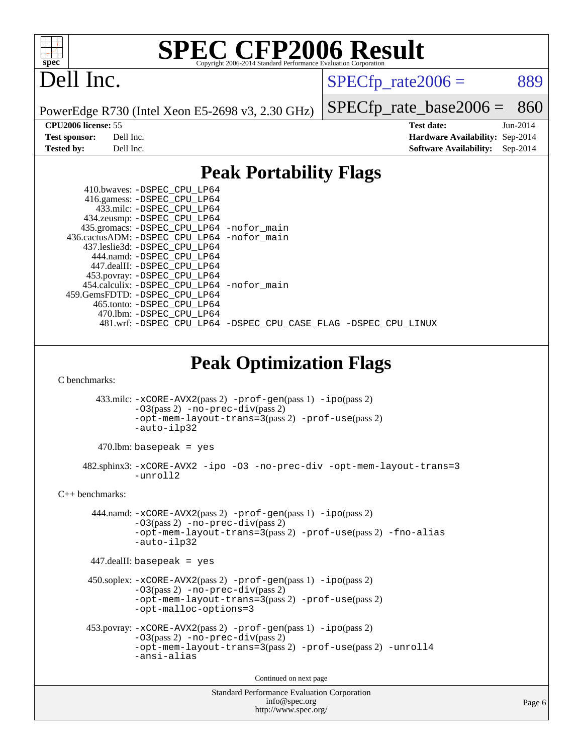

# Dell Inc.

 $SPECfp_rate2006 = 889$  $SPECfp_rate2006 = 889$ 

PowerEdge R730 (Intel Xeon E5-2698 v3, 2.30 GHz)

[SPECfp\\_rate\\_base2006 =](http://www.spec.org/auto/cpu2006/Docs/result-fields.html#SPECfpratebase2006) 860

**[CPU2006 license:](http://www.spec.org/auto/cpu2006/Docs/result-fields.html#CPU2006license)** 55 **[Test date:](http://www.spec.org/auto/cpu2006/Docs/result-fields.html#Testdate)** Jun-2014 **[Test sponsor:](http://www.spec.org/auto/cpu2006/Docs/result-fields.html#Testsponsor)** Dell Inc. **[Hardware Availability:](http://www.spec.org/auto/cpu2006/Docs/result-fields.html#HardwareAvailability)** Sep-2014 **[Tested by:](http://www.spec.org/auto/cpu2006/Docs/result-fields.html#Testedby)** Dell Inc. **[Software Availability:](http://www.spec.org/auto/cpu2006/Docs/result-fields.html#SoftwareAvailability)** Sep-2014

### **[Peak Portability Flags](http://www.spec.org/auto/cpu2006/Docs/result-fields.html#PeakPortabilityFlags)**

|               | 410.bwaves: -DSPEC CPU LP64                |                                                                                     |
|---------------|--------------------------------------------|-------------------------------------------------------------------------------------|
|               | 416.gamess: -DSPEC_CPU_LP64                |                                                                                     |
|               | 433.milc: -DSPEC CPU LP64                  |                                                                                     |
|               | 434.zeusmp: -DSPEC_CPU_LP64                |                                                                                     |
|               | 435.gromacs: -DSPEC_CPU_LP64 -nofor_main   |                                                                                     |
|               | 436.cactusADM: -DSPEC_CPU_LP64 -nofor_main |                                                                                     |
|               | 437.leslie3d: -DSPEC CPU LP64              |                                                                                     |
|               | 444.namd: -DSPEC CPU LP64                  |                                                                                     |
|               | 447.dealII: -DSPEC CPU LP64                |                                                                                     |
|               | 453.povray: -DSPEC_CPU_LP64                |                                                                                     |
|               | 454.calculix: -DSPEC_CPU_LP64 -nofor_main  |                                                                                     |
|               | 459.GemsFDTD: -DSPEC CPU LP64              |                                                                                     |
|               | 465.tonto: - DSPEC_CPU_LP64                |                                                                                     |
|               | 470.1bm: -DSPEC CPU LP64                   |                                                                                     |
|               |                                            | 481.wrf: -DSPEC_CPU_LP64 -DSPEC_CPU_CASE_FLAG -DSPEC_CPU_LINUX                      |
|               |                                            |                                                                                     |
|               |                                            |                                                                                     |
|               |                                            |                                                                                     |
|               |                                            |                                                                                     |
|               |                                            | <b>Peak Optimization Flags</b>                                                      |
| C benchmarks: |                                            |                                                                                     |
|               |                                            |                                                                                     |
|               |                                            | $433 \text{.}$ milc: $-x \text{CORE-AVX2}(pass 2) - prof-gen(pass 1) - ipo(pass 2)$ |
|               | $-03(pass 2)$ -no-prec-div(pass 2)         |                                                                                     |
|               |                                            | -opt-mem-layout-trans=3(pass 2) -prof-use(pass 2)                                   |
|               | $-auto-ilp32$                              |                                                                                     |
|               |                                            |                                                                                     |
|               | $470$ .lbm: basepeak = yes                 |                                                                                     |
|               |                                            |                                                                                     |
|               | -unroll2                                   | 482.sphinx3:-xCORE-AVX2 -ipo -03 -no-prec-div -opt-mem-layout-trans=3               |
|               |                                            |                                                                                     |

[C++ benchmarks:](http://www.spec.org/auto/cpu2006/Docs/result-fields.html#CXXbenchmarks)

 444.namd: [-xCORE-AVX2](http://www.spec.org/cpu2006/results/res2014q3/cpu2006-20140909-31283.flags.html#user_peakPASS2_CXXFLAGSPASS2_LDFLAGS444_namd_f-xAVX2_5f5fc0cbe2c9f62c816d3e45806c70d7)(pass 2) [-prof-gen](http://www.spec.org/cpu2006/results/res2014q3/cpu2006-20140909-31283.flags.html#user_peakPASS1_CXXFLAGSPASS1_LDFLAGS444_namd_prof_gen_e43856698f6ca7b7e442dfd80e94a8fc)(pass 1) [-ipo](http://www.spec.org/cpu2006/results/res2014q3/cpu2006-20140909-31283.flags.html#user_peakPASS2_CXXFLAGSPASS2_LDFLAGS444_namd_f-ipo)(pass 2) [-O3](http://www.spec.org/cpu2006/results/res2014q3/cpu2006-20140909-31283.flags.html#user_peakPASS2_CXXFLAGSPASS2_LDFLAGS444_namd_f-O3)(pass 2) [-no-prec-div](http://www.spec.org/cpu2006/results/res2014q3/cpu2006-20140909-31283.flags.html#user_peakPASS2_CXXFLAGSPASS2_LDFLAGS444_namd_f-no-prec-div)(pass 2) [-opt-mem-layout-trans=3](http://www.spec.org/cpu2006/results/res2014q3/cpu2006-20140909-31283.flags.html#user_peakPASS2_CXXFLAGS444_namd_f-opt-mem-layout-trans_a7b82ad4bd7abf52556d4961a2ae94d5)(pass 2) [-prof-use](http://www.spec.org/cpu2006/results/res2014q3/cpu2006-20140909-31283.flags.html#user_peakPASS2_CXXFLAGSPASS2_LDFLAGS444_namd_prof_use_bccf7792157ff70d64e32fe3e1250b55)(pass 2) [-fno-alias](http://www.spec.org/cpu2006/results/res2014q3/cpu2006-20140909-31283.flags.html#user_peakCXXOPTIMIZE444_namd_f-no-alias_694e77f6c5a51e658e82ccff53a9e63a) [-auto-ilp32](http://www.spec.org/cpu2006/results/res2014q3/cpu2006-20140909-31283.flags.html#user_peakCXXOPTIMIZE444_namd_f-auto-ilp32)

447.dealII: basepeak = yes

 450.soplex: [-xCORE-AVX2](http://www.spec.org/cpu2006/results/res2014q3/cpu2006-20140909-31283.flags.html#user_peakPASS2_CXXFLAGSPASS2_LDFLAGS450_soplex_f-xAVX2_5f5fc0cbe2c9f62c816d3e45806c70d7)(pass 2) [-prof-gen](http://www.spec.org/cpu2006/results/res2014q3/cpu2006-20140909-31283.flags.html#user_peakPASS1_CXXFLAGSPASS1_LDFLAGS450_soplex_prof_gen_e43856698f6ca7b7e442dfd80e94a8fc)(pass 1) [-ipo](http://www.spec.org/cpu2006/results/res2014q3/cpu2006-20140909-31283.flags.html#user_peakPASS2_CXXFLAGSPASS2_LDFLAGS450_soplex_f-ipo)(pass 2) [-O3](http://www.spec.org/cpu2006/results/res2014q3/cpu2006-20140909-31283.flags.html#user_peakPASS2_CXXFLAGSPASS2_LDFLAGS450_soplex_f-O3)(pass 2) [-no-prec-div](http://www.spec.org/cpu2006/results/res2014q3/cpu2006-20140909-31283.flags.html#user_peakPASS2_CXXFLAGSPASS2_LDFLAGS450_soplex_f-no-prec-div)(pass 2) [-opt-mem-layout-trans=3](http://www.spec.org/cpu2006/results/res2014q3/cpu2006-20140909-31283.flags.html#user_peakPASS2_CXXFLAGS450_soplex_f-opt-mem-layout-trans_a7b82ad4bd7abf52556d4961a2ae94d5)(pass 2) [-prof-use](http://www.spec.org/cpu2006/results/res2014q3/cpu2006-20140909-31283.flags.html#user_peakPASS2_CXXFLAGSPASS2_LDFLAGS450_soplex_prof_use_bccf7792157ff70d64e32fe3e1250b55)(pass 2) [-opt-malloc-options=3](http://www.spec.org/cpu2006/results/res2014q3/cpu2006-20140909-31283.flags.html#user_peakOPTIMIZE450_soplex_f-opt-malloc-options_13ab9b803cf986b4ee62f0a5998c2238)

```
 453.povray: -xCORE-AVX2(pass 2) -prof-gen(pass 1) -ipo(pass 2)
 -O3(pass 2) -no-prec-div(pass 2)
-opt-mem-layout-trans=3(pass 2) -prof-use(pass 2) -unroll4
-ansi-alias
```
Continued on next page

```
Standard Performance Evaluation Corporation
    info@spec.org
  http://www.spec.org/
```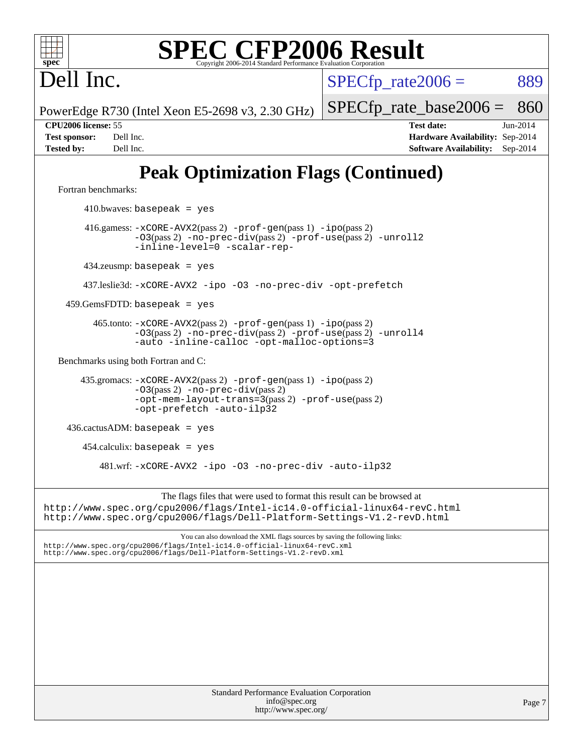| spec                                                                                                                                               |                        |                                 |                                    | <b>SPEC CFP2006 Result</b><br>Copyright 2006-2014 Standard Performance Evaluation Corporat                                                                                                                                     |                                                                                       |                          |
|----------------------------------------------------------------------------------------------------------------------------------------------------|------------------------|---------------------------------|------------------------------------|--------------------------------------------------------------------------------------------------------------------------------------------------------------------------------------------------------------------------------|---------------------------------------------------------------------------------------|--------------------------|
| Dell Inc.                                                                                                                                          |                        |                                 |                                    |                                                                                                                                                                                                                                | $SPECfp\_rate2006 =$                                                                  | 889                      |
| PowerEdge R730 (Intel Xeon E5-2698 v3, 2.30 GHz)                                                                                                   |                        |                                 |                                    |                                                                                                                                                                                                                                | $SPECfp\_rate\_base2006 =$                                                            | 860                      |
| CPU2006 license: 55<br><b>Test sponsor:</b><br><b>Tested by:</b>                                                                                   | Dell Inc.<br>Dell Inc. |                                 |                                    |                                                                                                                                                                                                                                | <b>Test date:</b><br>Hardware Availability: Sep-2014<br><b>Software Availability:</b> | $Jun-2014$<br>$Sep-2014$ |
|                                                                                                                                                    |                        |                                 |                                    | <b>Peak Optimization Flags (Continued)</b>                                                                                                                                                                                     |                                                                                       |                          |
| Fortran benchmarks:                                                                                                                                |                        |                                 |                                    |                                                                                                                                                                                                                                |                                                                                       |                          |
|                                                                                                                                                    |                        | $410.bwaves: basepeak = yes$    |                                    |                                                                                                                                                                                                                                |                                                                                       |                          |
|                                                                                                                                                    |                        |                                 | -inline-level=0 -scalar-rep-       | $416 \text{.games: } -x \text{CORE} - \text{AVX2}(pass 2) - \text{prof}-gen (pass 1) - \text{ipo} (pass 2)$<br>-03(pass 2) -no-prec-div(pass 2) -prof-use(pass 2) -unroll2                                                     |                                                                                       |                          |
|                                                                                                                                                    |                        | $434$ .zeusmp: basepeak = yes   |                                    |                                                                                                                                                                                                                                |                                                                                       |                          |
|                                                                                                                                                    |                        |                                 |                                    | 437.leslie3d: -xCORE-AVX2 -ipo -03 -no-prec-div -opt-prefetch                                                                                                                                                                  |                                                                                       |                          |
|                                                                                                                                                    |                        | $459.GemsFDTD: basepeak = yes$  |                                    |                                                                                                                                                                                                                                |                                                                                       |                          |
|                                                                                                                                                    |                        |                                 |                                    | $465$ .tonto: $-x \text{CORE-AVX2}(pass 2)$ -prof-gen(pass 1) -ipo(pass 2)<br>-03(pass 2) -no-prec-div(pass 2) -prof-use(pass 2) -unroll4<br>-auto -inline-calloc -opt-malloc-options=3                                        |                                                                                       |                          |
| Benchmarks using both Fortran and C:                                                                                                               |                        |                                 |                                    |                                                                                                                                                                                                                                |                                                                                       |                          |
|                                                                                                                                                    |                        | -opt-prefetch -auto-ilp32       | $-03(pass 2)$ -no-prec-div(pass 2) | 435.gromacs: -xCORE-AVX2(pass 2) -prof-gen(pass 1) -ipo(pass 2)<br>-opt-mem-layout-trans=3(pass 2) -prof-use(pass 2)                                                                                                           |                                                                                       |                          |
|                                                                                                                                                    |                        | $436.cactusADM: basepeak = yes$ |                                    |                                                                                                                                                                                                                                |                                                                                       |                          |
|                                                                                                                                                    |                        | $454$ .calculix: basepeak = yes |                                    |                                                                                                                                                                                                                                |                                                                                       |                          |
|                                                                                                                                                    |                        |                                 |                                    | 481.wrf: -xCORE-AVX2 -ipo -03 -no-prec-div -auto-ilp32                                                                                                                                                                         |                                                                                       |                          |
|                                                                                                                                                    |                        |                                 |                                    | The flags files that were used to format this result can be browsed at<br>http://www.spec.org/cpu2006/flags/Intel-ic14.0-official-linux64-revC.html<br>http://www.spec.org/cpu2006/flags/Dell-Platform-Settings-V1.2-revD.html |                                                                                       |                          |
| http://www.spec.org/cpu2006/flags/Intel-ic14.0-official-linux64-revC.xml<br>http://www.spec.org/cpu2006/flags/Dell-Platform-Settings-V1.2-revD.xml |                        |                                 |                                    | You can also download the XML flags sources by saving the following links:                                                                                                                                                     |                                                                                       |                          |
|                                                                                                                                                    |                        |                                 |                                    |                                                                                                                                                                                                                                |                                                                                       |                          |